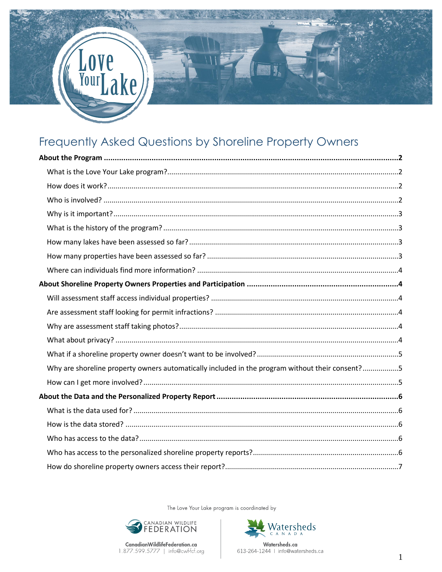# Frequently Asked Questions by Shoreline Property Owners

Kρ

| Why are shoreline property owners automatically included in the program without their consent?5 |  |  |
|-------------------------------------------------------------------------------------------------|--|--|
|                                                                                                 |  |  |
|                                                                                                 |  |  |
|                                                                                                 |  |  |
|                                                                                                 |  |  |
|                                                                                                 |  |  |
|                                                                                                 |  |  |
|                                                                                                 |  |  |
|                                                                                                 |  |  |

The Love Your Lake program is coordinated by



Watersheds Watersheds.ca 613-264-1244 | info@watersheds.ca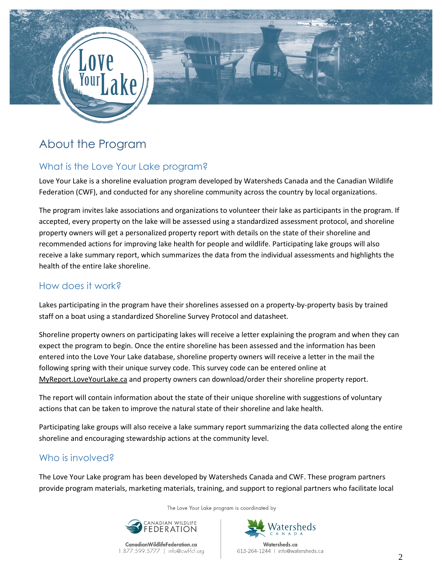

# About the Program

# What is the Love Your Lake program?

Love Your Lake is a shoreline evaluation program developed by Watersheds Canada and the Canadian Wildlife Federation (CWF), and conducted for any shoreline community across the country by local organizations.

The program invites lake associations and organizations to volunteer their lake as participants in the program. If accepted, every property on the lake will be assessed using a standardized assessment protocol, and shoreline property owners will get a personalized property report with details on the state of their shoreline and recommended actions for improving lake health for people and wildlife. Participating lake groups will also receive a lake summary report, which summarizes the data from the individual assessments and highlights the health of the entire lake shoreline.

## How does it work?

Lakes participating in the program have their shorelines assessed on a property-by-property basis by trained staff on a boat using a standardized Shoreline Survey Protocol and datasheet.

Shoreline property owners on participating lakes will receive a letter explaining the program and when they can expect the program to begin. Once the entire shoreline has been assessed and the information has been entered into the Love Your Lake database, shoreline property owners will receive a letter in the mail the following spring with their unique survey code. This survey code can be entered online at MyReport.LoveYourLake.ca and property owners can download/order their shoreline property report.

The report will contain information about the state of their unique shoreline with suggestions of voluntary actions that can be taken to improve the natural state of their shoreline and lake health.

Participating lake groups will also receive a lake summary report summarizing the data collected along the entire shoreline and encouraging stewardship actions at the community level.

# Who is involved?

The Love Your Lake program has been developed by Watersheds Canada and CWF. These program partners provide program materials, marketing materials, training, and support to regional partners who facilitate local

The Love Your Lake program is coordinated by



CanadianWildlifeFederation.ca 1.877.599.5777 | info@cwf-fcf.org



Watersheds.ca 613-264-1244 | info@watersheds.ca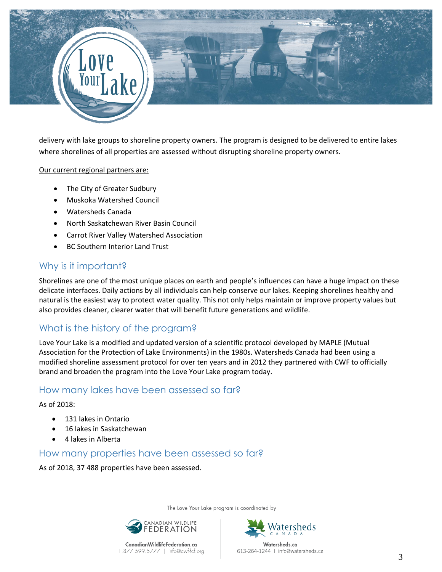

delivery with lake groups to shoreline property owners. The program is designed to be delivered to entire lakes where shorelines of all properties are assessed without disrupting shoreline property owners.

#### Our current regional partners are:

- The City of Greater Sudbury
- Muskoka Watershed Council
- Watersheds Canada
- North Saskatchewan River Basin Council
- Carrot River Valley Watershed Association
- BC Southern Interior Land Trust

#### Why is it important?

Shorelines are one of the most unique places on earth and people's influences can have a huge impact on these delicate interfaces. Daily actions by all individuals can help conserve our lakes. Keeping shorelines healthy and natural is the easiest way to protect water quality. This not only helps maintain or improve property values but also provides cleaner, clearer water that will benefit future generations and wildlife.

### What is the history of the program?

Love Your Lake is a modified and updated version of a scientific protocol developed by MAPLE (Mutual Association for the Protection of Lake Environments) in the 1980s. Watersheds Canada had been using a modified shoreline assessment protocol for over ten years and in 2012 they partnered with CWF to officially brand and broaden the program into the Love Your Lake program today.

#### How many lakes have been assessed so far?

#### As of 2018:

- **131 lakes in Ontario**
- 16 lakes in Saskatchewan
- 4 lakes in Alberta

#### How many properties have been assessed so far?

As of 2018, 37 488 properties have been assessed.

The Love Your Lake program is coordinated by



CanadianWildlifeFederation.ca

1.877.599.5777 | info@cwf-fcf.org



613-264-1244 | info@watersheds.ca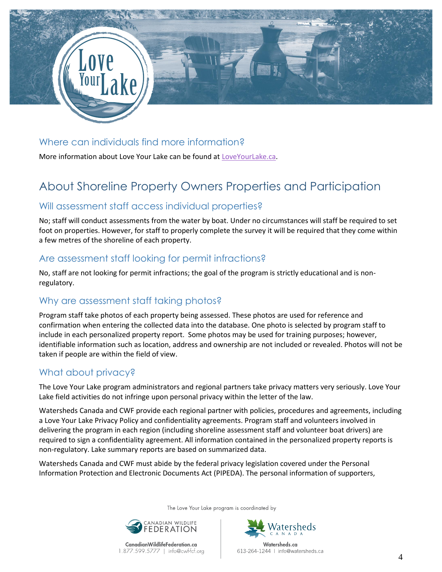

## Where can individuals find more information?

More information about Love Your Lake can be found at [LoveYourLake.ca.](http://www.loveyourlake.ca/)

# About Shoreline Property Owners Properties and Participation

#### Will assessment staff access individual properties?

No; staff will conduct assessments from the water by boat. Under no circumstances will staff be required to set foot on properties. However, for staff to properly complete the survey it will be required that they come within a few metres of the shoreline of each property.

#### Are assessment staff looking for permit infractions?

No, staff are not looking for permit infractions; the goal of the program is strictly educational and is nonregulatory.

### Why are assessment staff taking photos?

Program staff take photos of each property being assessed. These photos are used for reference and confirmation when entering the collected data into the database. One photo is selected by program staff to include in each personalized property report. Some photos may be used for training purposes; however, identifiable information such as location, address and ownership are not included or revealed. Photos will not be taken if people are within the field of view.

# What about privacy?

The Love Your Lake program administrators and regional partners take privacy matters very seriously. Love Your Lake field activities do not infringe upon personal privacy within the letter of the law.

Watersheds Canada and CWF provide each regional partner with policies, procedures and agreements, including a Love Your Lake Privacy Policy and confidentiality agreements. Program staff and volunteers involved in delivering the program in each region (including shoreline assessment staff and volunteer boat drivers) are required to sign a confidentiality agreement. All information contained in the personalized property reports is non-regulatory. Lake summary reports are based on summarized data.

Watersheds Canada and CWF must abide by the federal privacy legislation covered under the Personal Information Protection and Electronic Documents Act (PIPEDA). The personal information of supporters,

The Love Your Lake program is coordinated by







613-264-1244 | info@watersheds.ca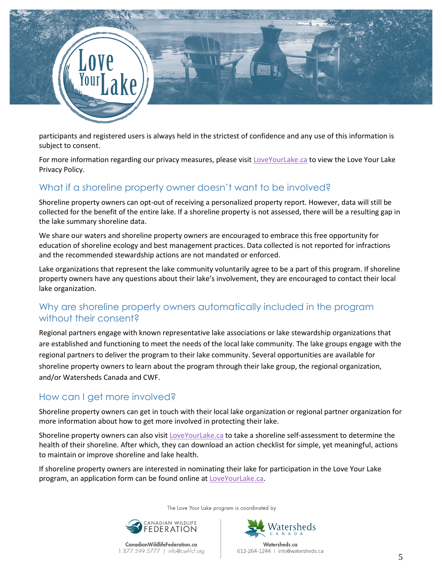

participants and registered users is always held in the strictest of confidence and any use of this information is subject to consent.

For more information regarding our privacy measures, please visit [LoveYourLake.ca](http://www.loveyourlake.ca/) to view the Love Your Lake Privacy Policy.

## What if a shoreline property owner doesn't want to be involved?

Shoreline property owners can opt-out of receiving a personalized property report. However, data will still be collected for the benefit of the entire lake. If a shoreline property is not assessed, there will be a resulting gap in the lake summary shoreline data.

We share our waters and shoreline property owners are encouraged to embrace this free opportunity for education of shoreline ecology and best management practices. Data collected is not reported for infractions and the recommended stewardship actions are not mandated or enforced.

Lake organizations that represent the lake community voluntarily agree to be a part of this program. If shoreline property owners have any questions about their lake's involvement, they are encouraged to contact their local lake organization.

# Why are shoreline property owners automatically included in the program without their consent?

Regional partners engage with known representative lake associations or lake stewardship organizations that are established and functioning to meet the needs of the local lake community. The lake groups engage with the regional partners to deliver the program to their lake community. Several opportunities are available for shoreline property owners to learn about the program through their lake group, the regional organization, and/or Watersheds Canada and CWF.

# How can I get more involved?

Shoreline property owners can get in touch with their local lake organization or regional partner organization for more information about how to get more involved in protecting their lake.

Shoreline property owners can also visit [LoveYourLake.ca](http://www.loveyourlake.ca/) to take a shoreline self-assessment to determine the health of their shoreline. After which, they can download an action checklist for simple, yet meaningful, actions to maintain or improve shoreline and lake health.

If shoreline property owners are interested in nominating their lake for participation in the Love Your Lake program, an application form can be found online at [LoveYourLake.ca.](http://www.loveyourlake.ca/)

The Love Your Lake program is coordinated by



CanadianWildlifeFederation.ca 1.877.599.5777 | info@cwf-fcf.org



Watersheds.ca 613-264-1244 | info@watersheds.ca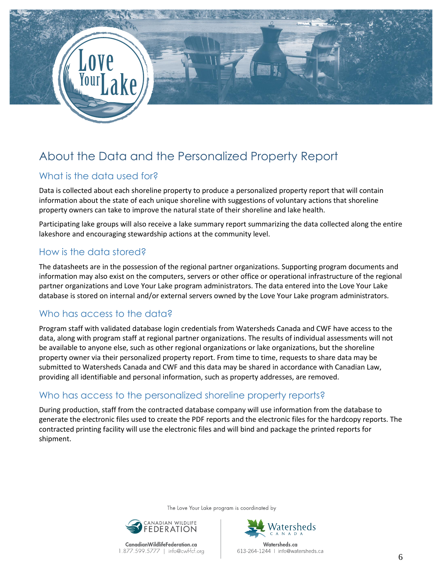

# About the Data and the Personalized Property Report

# What is the data used for?

Data is collected about each shoreline property to produce a personalized property report that will contain information about the state of each unique shoreline with suggestions of voluntary actions that shoreline property owners can take to improve the natural state of their shoreline and lake health.

Participating lake groups will also receive a lake summary report summarizing the data collected along the entire lakeshore and encouraging stewardship actions at the community level.

## How is the data stored?

The datasheets are in the possession of the regional partner organizations. Supporting program documents and information may also exist on the computers, servers or other office or operational infrastructure of the regional partner organizations and Love Your Lake program administrators. The data entered into the Love Your Lake database is stored on internal and/or external servers owned by the Love Your Lake program administrators.

# Who has access to the data?

Program staff with validated database login credentials from Watersheds Canada and CWF have access to the data, along with program staff at regional partner organizations. The results of individual assessments will not be available to anyone else, such as other regional organizations or lake organizations, but the shoreline property owner via their personalized property report. From time to time, requests to share data may be submitted to Watersheds Canada and CWF and this data may be shared in accordance with Canadian Law, providing all identifiable and personal information, such as property addresses, are removed.

# Who has access to the personalized shoreline property reports?

During production, staff from the contracted database company will use information from the database to generate the electronic files used to create the PDF reports and the electronic files for the hardcopy reports. The contracted printing facility will use the electronic files and will bind and package the printed reports for shipment.

The Love Your Lake program is coordinated by